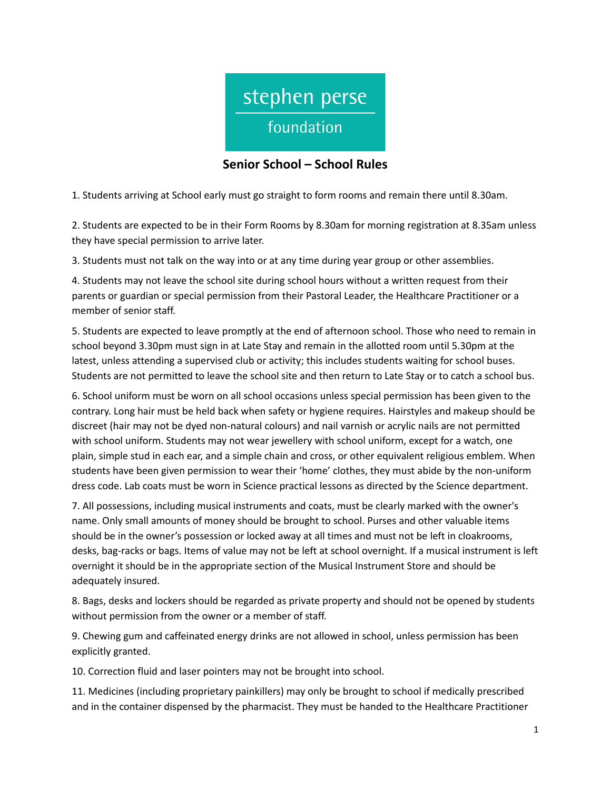

## **Senior School – School Rules**

1. Students arriving at School early must go straight to form rooms and remain there until 8.30am.

2. Students are expected to be in their Form Rooms by 8.30am for morning registration at 8.35am unless they have special permission to arrive later.

3. Students must not talk on the way into or at any time during year group or other assemblies.

4. Students may not leave the school site during school hours without a written request from their parents or guardian or special permission from their Pastoral Leader, the Healthcare Practitioner or a member of senior staff.

5. Students are expected to leave promptly at the end of afternoon school. Those who need to remain in school beyond 3.30pm must sign in at Late Stay and remain in the allotted room until 5.30pm at the latest, unless attending a supervised club or activity; this includes students waiting for school buses. Students are not permitted to leave the school site and then return to Late Stay or to catch a school bus.

6. School uniform must be worn on all school occasions unless special permission has been given to the contrary. Long hair must be held back when safety or hygiene requires. Hairstyles and makeup should be discreet (hair may not be dyed non-natural colours) and nail varnish or acrylic nails are not permitted with school uniform. Students may not wear jewellery with school uniform, except for a watch, one plain, simple stud in each ear, and a simple chain and cross, or other equivalent religious emblem. When students have been given permission to wear their 'home' clothes, they must abide by the non-uniform dress code. Lab coats must be worn in Science practical lessons as directed by the Science department.

7. All possessions, including musical instruments and coats, must be clearly marked with the owner's name. Only small amounts of money should be brought to school. Purses and other valuable items should be in the owner's possession or locked away at all times and must not be left in cloakrooms, desks, bag‐racks or bags. Items of value may not be left at school overnight. If a musical instrument is left overnight it should be in the appropriate section of the Musical Instrument Store and should be adequately insured.

8. Bags, desks and lockers should be regarded as private property and should not be opened by students without permission from the owner or a member of staff.

9. Chewing gum and caffeinated energy drinks are not allowed in school, unless permission has been explicitly granted.

10. Correction fluid and laser pointers may not be brought into school.

11. Medicines (including proprietary painkillers) may only be brought to school if medically prescribed and in the container dispensed by the pharmacist. They must be handed to the Healthcare Practitioner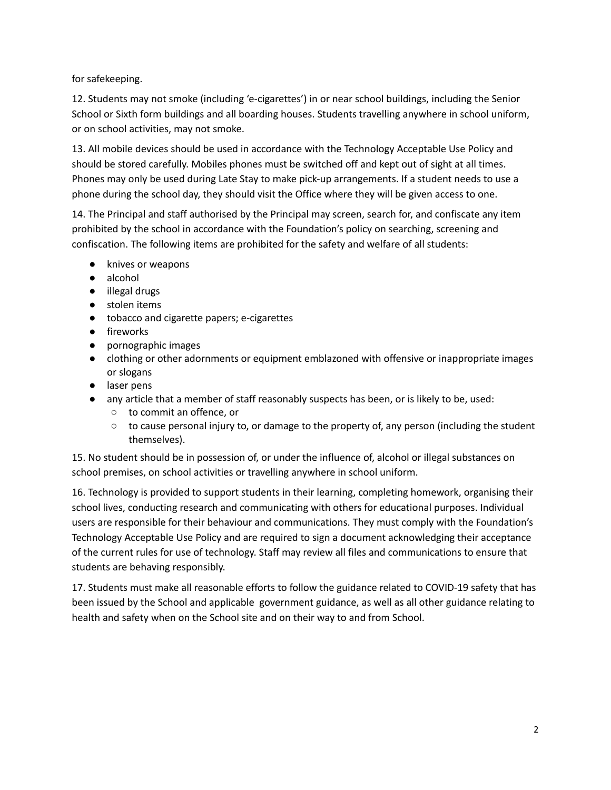for safekeeping.

12. Students may not smoke (including 'e-cigarettes') in or near school buildings, including the Senior School or Sixth form buildings and all boarding houses. Students travelling anywhere in school uniform, or on school activities, may not smoke.

13. All mobile devices should be used in accordance with the Technology Acceptable Use Policy and should be stored carefully. Mobiles phones must be switched off and kept out of sight at all times. Phones may only be used during Late Stay to make pick-up arrangements. If a student needs to use a phone during the school day, they should visit the Office where they will be given access to one.

14. The Principal and staff authorised by the Principal may screen, search for, and confiscate any item prohibited by the school in accordance with the Foundation's policy on searching, screening and confiscation. The following items are prohibited for the safety and welfare of all students:

- knives or weapons
- alcohol
- illegal drugs
- stolen items
- tobacco and cigarette papers; e-cigarettes
- fireworks
- pornographic images
- clothing or other adornments or equipment emblazoned with offensive or inappropriate images or slogans
- laser pens
- any article that a member of staff reasonably suspects has been, or is likely to be, used:
	- to commit an offence, or
	- $\circ$  to cause personal injury to, or damage to the property of, any person (including the student themselves).

15. No student should be in possession of, or under the influence of, alcohol or illegal substances on school premises, on school activities or travelling anywhere in school uniform.

16. Technology is provided to support students in their learning, completing homework, organising their school lives, conducting research and communicating with others for educational purposes. Individual users are responsible for their behaviour and communications. They must comply with the Foundation's Technology Acceptable Use Policy and are required to sign a document acknowledging their acceptance of the current rules for use of technology. Staff may review all files and communications to ensure that students are behaving responsibly.

17. Students must make all reasonable efforts to follow the guidance related to COVID-19 safety that has been issued by the School and applicable government guidance, as well as all other guidance relating to health and safety when on the School site and on their way to and from School.